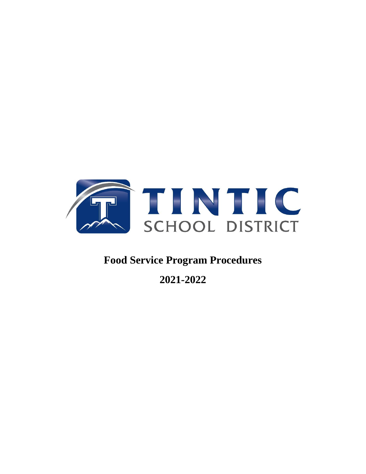

# **Food Service Program Procedures**

**2021-2022**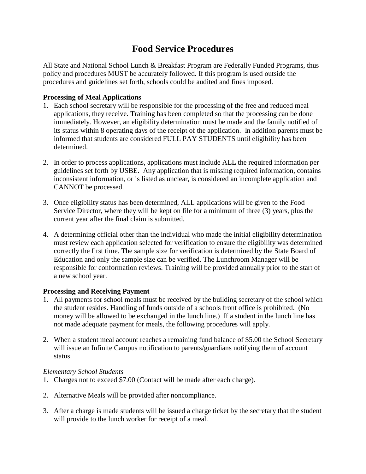## **Food Service Procedures**

All State and National School Lunch & Breakfast Program are Federally Funded Programs, thus policy and procedures MUST be accurately followed. If this program is used outside the procedures and guidelines set forth, schools could be audited and fines imposed.

#### **Processing of Meal Applications**

- 1. Each school secretary will be responsible for the processing of the free and reduced meal applications, they receive. Training has been completed so that the processing can be done immediately. However, an eligibility determination must be made and the family notified of its status within 8 operating days of the receipt of the application. In addition parents must be informed that students are considered FULL PAY STUDENTS until eligibility has been determined.
- 2. In order to process applications, applications must include ALL the required information per guidelines set forth by USBE. Any application that is missing required information, contains inconsistent information, or is listed as unclear, is considered an incomplete application and CANNOT be processed.
- 3. Once eligibility status has been determined, ALL applications will be given to the Food Service Director, where they will be kept on file for a minimum of three (3) years, plus the current year after the final claim is submitted.
- 4. A determining official other than the individual who made the initial eligibility determination must review each application selected for verification to ensure the eligibility was determined correctly the first time. The sample size for verification is determined by the State Board of Education and only the sample size can be verified. The Lunchroom Manager will be responsible for conformation reviews. Training will be provided annually prior to the start of a new school year.

#### **Processing and Receiving Payment**

- 1. All payments for school meals must be received by the building secretary of the school which the student resides. Handling of funds outside of a schools front office is prohibited. (No money will be allowed to be exchanged in the lunch line.) If a student in the lunch line has not made adequate payment for meals, the following procedures will apply.
- 2. When a student meal account reaches a remaining fund balance of \$5.00 the School Secretary will issue an Infinite Campus notification to parents/guardians notifying them of account status.

#### *Elementary School Students*

- 1. Charges not to exceed \$7.00 (Contact will be made after each charge).
- 2. Alternative Meals will be provided after noncompliance.
- 3. After a charge is made students will be issued a charge ticket by the secretary that the student will provide to the lunch worker for receipt of a meal.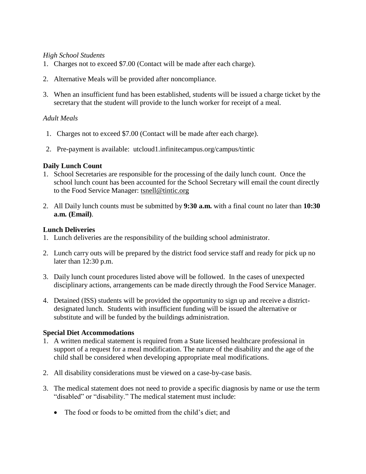#### *High School Students*

- 1. Charges not to exceed \$7.00 (Contact will be made after each charge).
- 2. Alternative Meals will be provided after noncompliance.
- 3. When an insufficient fund has been established, students will be issued a charge ticket by the secretary that the student will provide to the lunch worker for receipt of a meal.

#### *Adult Meals*

- 1. Charges not to exceed \$7.00 (Contact will be made after each charge).
- 2. Pre-payment is available: utcloud1.infinitecampus.org/campus/tintic

#### **Daily Lunch Count**

- 1. School Secretaries are responsible for the processing of the daily lunch count. Once the school lunch count has been accounted for the School Secretary will email the count directly to the Food Service Manager: tsnel[l@tintic.org](mailto:hyoung@tintic.org)
- 2. All Daily lunch counts must be submitted by **9:30 a.m.** with a final count no later than **10:30 a.m. (Email)**.

#### **Lunch Deliveries**

- 1. Lunch deliveries are the responsibility of the building school administrator.
- 2. Lunch carry outs will be prepared by the district food service staff and ready for pick up no later than 12:30 p.m.
- 3. Daily lunch count procedures listed above will be followed. In the cases of unexpected disciplinary actions, arrangements can be made directly through the Food Service Manager.
- 4. Detained (ISS) students will be provided the opportunity to sign up and receive a districtdesignated lunch. Students with insufficient funding will be issued the alternative or substitute and will be funded by the buildings administration.

#### **Special Diet Accommodations**

- 1. A written medical statement is required from a State licensed healthcare professional in support of a request for a meal modification. The nature of the disability and the age of the child shall be considered when developing appropriate meal modifications.
- 2. All disability considerations must be viewed on a case-by-case basis.
- 3. The medical statement does not need to provide a specific diagnosis by name or use the term "disabled" or "disability." The medical statement must include:
	- The food or foods to be omitted from the child's diet; and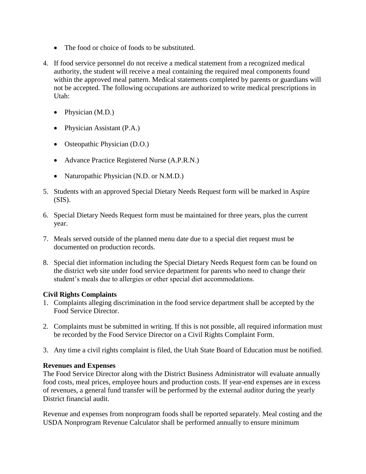- The food or choice of foods to be substituted.
- 4. If food service personnel do not receive a medical statement from a recognized medical authority, the student will receive a meal containing the required meal components found within the approved meal pattern. Medical statements completed by parents or guardians will not be accepted. The following occupations are authorized to write medical prescriptions in Utah:
	- Physician (M.D.)
	- Physician Assistant (P.A.)
	- Osteopathic Physician (D.O.)
	- Advance Practice Registered Nurse (A.P.R.N.)
	- Naturopathic Physician (N.D. or N.M.D.)
- 5. Students with an approved Special Dietary Needs Request form will be marked in Aspire  $(SIS)$ .
- 6. Special Dietary Needs Request form must be maintained for three years, plus the current year.
- 7. Meals served outside of the planned menu date due to a special diet request must be documented on production records.
- 8. Special diet information including the Special Dietary Needs Request form can be found on the district web site under food service department for parents who need to change their student's meals due to allergies or other special diet accommodations.

#### **Civil Rights Complaints**

- 1. Complaints alleging discrimination in the food service department shall be accepted by the Food Service Director.
- 2. Complaints must be submitted in writing. If this is not possible, all required information must be recorded by the Food Service Director on a Civil Rights Complaint Form.
- 3. Any time a civil rights complaint is filed, the Utah State Board of Education must be notified.

#### **Revenues and Expenses**

The Food Service Director along with the District Business Administrator will evaluate annually food costs, meal prices, employee hours and production costs. If year-end expenses are in excess of revenues, a general fund transfer will be performed by the external auditor during the yearly District financial audit.

Revenue and expenses from nonprogram foods shall be reported separately. Meal costing and the USDA Nonprogram Revenue Calculator shall be performed annually to ensure minimum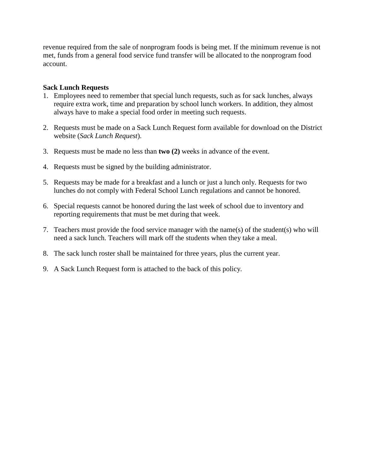revenue required from the sale of nonprogram foods is being met. If the minimum revenue is not met, funds from a general food service fund transfer will be allocated to the nonprogram food account.

#### **Sack Lunch Requests**

- 1. Employees need to remember that special lunch requests, such as for sack lunches, always require extra work, time and preparation by school lunch workers. In addition, they almost always have to make a special food order in meeting such requests.
- 2. Requests must be made on a Sack Lunch Request form available for download on the District website (*Sack Lunch Request*).
- 3. Requests must be made no less than **two (2)** weeks in advance of the event.
- 4. Requests must be signed by the building administrator.
- 5. Requests may be made for a breakfast and a lunch or just a lunch only. Requests for two lunches do not comply with Federal School Lunch regulations and cannot be honored.
- 6. Special requests cannot be honored during the last week of school due to inventory and reporting requirements that must be met during that week.
- 7. Teachers must provide the food service manager with the name(s) of the student(s) who will need a sack lunch. Teachers will mark off the students when they take a meal.
- 8. The sack lunch roster shall be maintained for three years, plus the current year.
- 9. A Sack Lunch Request form is attached to the back of this policy.